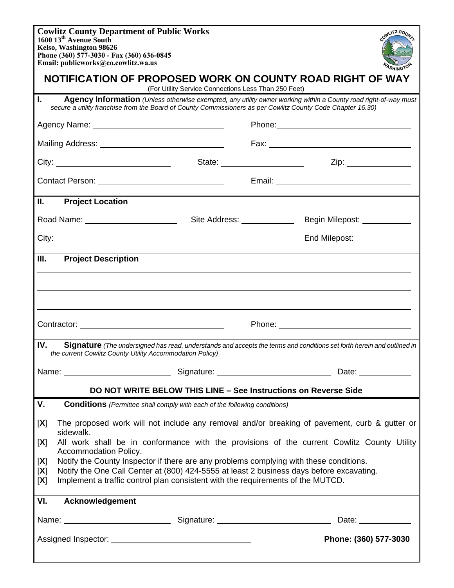| <b>Cowlitz County Department of Public Works</b><br>1600 13 <sup>th</sup> Avenue South<br>Kelso, Washington 98626<br>Phone (360) 577-3030 - Fax (360) 636-0845<br>Email: publicworks@co.cowlitz.wa.us                                                                                      |  |                              | OWLITZ COU                                                                                                                                                                                                                     |
|--------------------------------------------------------------------------------------------------------------------------------------------------------------------------------------------------------------------------------------------------------------------------------------------|--|------------------------------|--------------------------------------------------------------------------------------------------------------------------------------------------------------------------------------------------------------------------------|
| NOTIFICATION OF PROPOSED WORK ON COUNTY ROAD RIGHT OF WAY<br>(For Utility Service Connections Less Than 250 Feet)                                                                                                                                                                          |  |                              |                                                                                                                                                                                                                                |
| L.<br><b>Agency Information</b> (Unless otherwise exempted, any utility owner working within a County road right-of-way must<br>secure a utility franchise from the Board of County Commissioners as per Cowlitz County Code Chapter 16.30)                                                |  |                              |                                                                                                                                                                                                                                |
| Agency Name: <u>__________________________________</u>                                                                                                                                                                                                                                     |  |                              |                                                                                                                                                                                                                                |
|                                                                                                                                                                                                                                                                                            |  |                              |                                                                                                                                                                                                                                |
|                                                                                                                                                                                                                                                                                            |  |                              |                                                                                                                                                                                                                                |
|                                                                                                                                                                                                                                                                                            |  |                              |                                                                                                                                                                                                                                |
| Ш.<br><b>Project Location</b>                                                                                                                                                                                                                                                              |  |                              |                                                                                                                                                                                                                                |
|                                                                                                                                                                                                                                                                                            |  | Site Address: ______________ | Begin Milepost: ____________                                                                                                                                                                                                   |
|                                                                                                                                                                                                                                                                                            |  |                              | End Milepost: _______________                                                                                                                                                                                                  |
| III.<br><b>Project Description</b>                                                                                                                                                                                                                                                         |  |                              |                                                                                                                                                                                                                                |
|                                                                                                                                                                                                                                                                                            |  |                              |                                                                                                                                                                                                                                |
|                                                                                                                                                                                                                                                                                            |  |                              |                                                                                                                                                                                                                                |
|                                                                                                                                                                                                                                                                                            |  |                              |                                                                                                                                                                                                                                |
| IV.<br>Signature (The undersigned has read, understands and accepts the terms and conditions set forth herein and outlined in<br>the current Cowlitz County Utility Accommodation Policy)                                                                                                  |  |                              |                                                                                                                                                                                                                                |
| Name: Name: Name: Name: Name: Name: Name: Name: Name: Name: Name: Name: Name: Name: Name: Name: Name: Name: Name: Name: Name: Name: Name: Name: Name: Name: Name: Name: Name: Name: Name: Name: Name: Name: Name: Name: Name:                                                              |  |                              | Date: the contract of the contract of the contract of the contract of the contract of the contract of the contract of the contract of the contract of the contract of the contract of the contract of the contract of the cont |
| DO NOT WRITE BELOW THIS LINE - See Instructions on Reverse Side                                                                                                                                                                                                                            |  |                              |                                                                                                                                                                                                                                |
| V.<br><b>Conditions</b> (Permittee shall comply with each of the following conditions)                                                                                                                                                                                                     |  |                              |                                                                                                                                                                                                                                |
| The proposed work will not include any removal and/or breaking of pavement, curb & gutter or<br>[X]<br>sidewalk.                                                                                                                                                                           |  |                              |                                                                                                                                                                                                                                |
| All work shall be in conformance with the provisions of the current Cowlitz County Utility<br>[X]<br>Accommodation Policy.                                                                                                                                                                 |  |                              |                                                                                                                                                                                                                                |
| Notify the County Inspector if there are any problems complying with these conditions.<br>[X]<br>Notify the One Call Center at (800) 424-5555 at least 2 business days before excavating.<br>[X]<br>Implement a traffic control plan consistent with the requirements of the MUTCD.<br>[X] |  |                              |                                                                                                                                                                                                                                |
|                                                                                                                                                                                                                                                                                            |  |                              |                                                                                                                                                                                                                                |
| VI.<br>Acknowledgement                                                                                                                                                                                                                                                                     |  |                              |                                                                                                                                                                                                                                |
| Name: Name: Name: Name: Name: Name: Name: Name: Name: Name: Name: Name: Name: Name: Name: Name: Name: Name: Name: Name: Name: Name: Name: Name: Name: Name: Name: Name: Name: Name: Name: Name: Name: Name: Name: Name: Name:                                                              |  |                              | Date: <u>_____________</u>                                                                                                                                                                                                     |
|                                                                                                                                                                                                                                                                                            |  |                              | Phone: (360) 577-3030                                                                                                                                                                                                          |